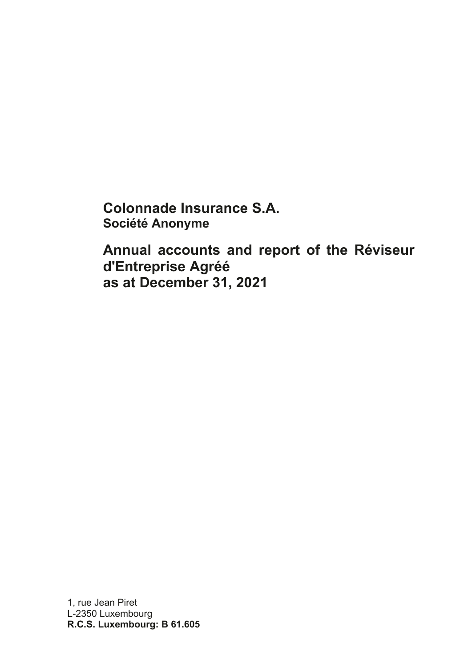**Colonnade Insurance S.A. Société Anonyme**

**Annual accounts and report of the Réviseur d'Entreprise Agréé as at December 31, 2021**

1, rue Jean Piret L-2350 Luxembourg **R.C.S. Luxembourg: B 61.605**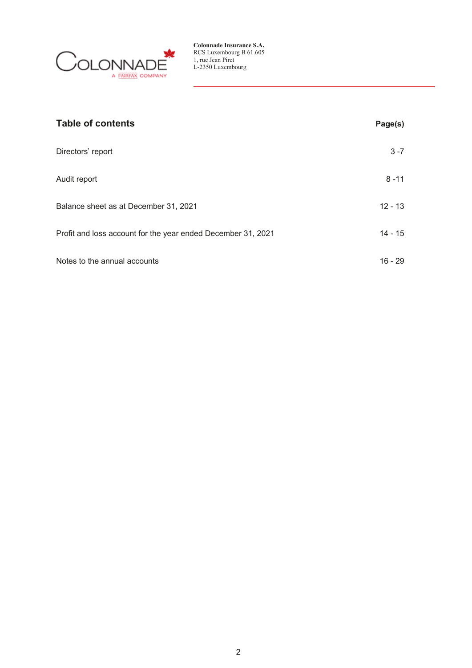

| <b>Table of contents</b>                                     | Page(s)   |
|--------------------------------------------------------------|-----------|
| Directors' report                                            | $3 - 7$   |
| Audit report                                                 | $8 - 11$  |
| Balance sheet as at December 31, 2021                        | $12 - 13$ |
| Profit and loss account for the year ended December 31, 2021 | $14 - 15$ |
| Notes to the annual accounts                                 | $16 - 29$ |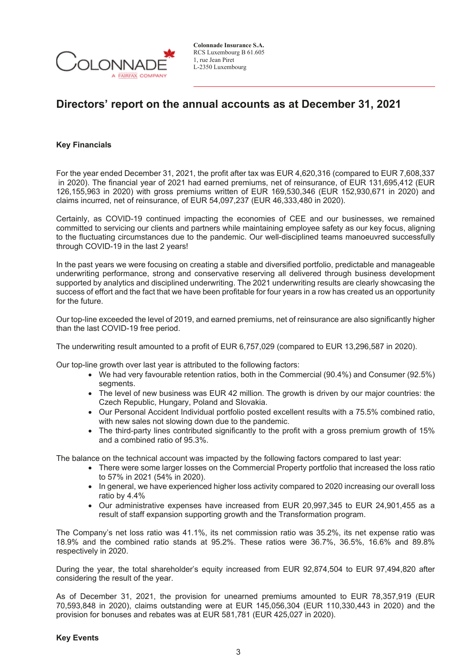

## **Directors' report on the annual accounts as at December 31, 2021**

### **Key Financials**

For the year ended December 31, 2021, the profit after tax was EUR 4,620,316 (compared to EUR 7,608,337 in 2020). The financial year of 2021 had earned premiums, net of reinsurance, of EUR 131,695,412 (EUR 126,155,963 in 2020) with gross premiums written of EUR 169,530,346 (EUR 152,930,671 in 2020) and claims incurred, net of reinsurance, of EUR 54,097,237 (EUR 46,333,480 in 2020).

Certainly, as COVID-19 continued impacting the economies of CEE and our businesses, we remained committed to servicing our clients and partners while maintaining employee safety as our key focus, aligning to the fluctuating circumstances due to the pandemic. Our well-disciplined teams manoeuvred successfully through COVID-19 in the last 2 years!

In the past years we were focusing on creating a stable and diversified portfolio, predictable and manageable underwriting performance, strong and conservative reserving all delivered through business development supported by analytics and disciplined underwriting. The 2021 underwriting results are clearly showcasing the success of effort and the fact that we have been profitable for four years in a row has created us an opportunity for the future.

Our top-line exceeded the level of 2019, and earned premiums, net of reinsurance are also significantly higher than the last COVID-19 free period.

The underwriting result amounted to a profit of EUR 6,757,029 (compared to EUR 13,296,587 in 2020).

Our top-line growth over last year is attributed to the following factors:

- We had very favourable retention ratios, both in the Commercial (90.4%) and Consumer (92.5%) segments.
- The level of new business was EUR 42 million. The growth is driven by our major countries: the Czech Republic, Hungary, Poland and Slovakia.
- Our Personal Accident Individual portfolio posted excellent results with a 75.5% combined ratio, with new sales not slowing down due to the pandemic.
- The third-party lines contributed significantly to the profit with a gross premium growth of 15% and a combined ratio of 95.3%.

The balance on the technical account was impacted by the following factors compared to last year:

- There were some larger losses on the Commercial Property portfolio that increased the loss ratio to 57% in 2021 (54% in 2020).
- In general, we have experienced higher loss activity compared to 2020 increasing our overall loss ratio by 4.4%
- Our administrative expenses have increased from EUR 20,997,345 to EUR 24,901,455 as a result of staff expansion supporting growth and the Transformation program.

The Company's net loss ratio was 41.1%, its net commission ratio was 35.2%, its net expense ratio was 18.9% and the combined ratio stands at 95.2%. These ratios were 36.7%, 36.5%, 16.6% and 89.8% respectively in 2020.

During the year, the total shareholder's equity increased from EUR 92,874,504 to EUR 97,494,820 after considering the result of the year.

As of December 31, 2021, the provision for unearned premiums amounted to EUR 78,357,919 (EUR 70,593,848 in 2020), claims outstanding were at EUR 145,056,304 (EUR 110,330,443 in 2020) and the provision for bonuses and rebates was at EUR 581,781 (EUR 425,027 in 2020).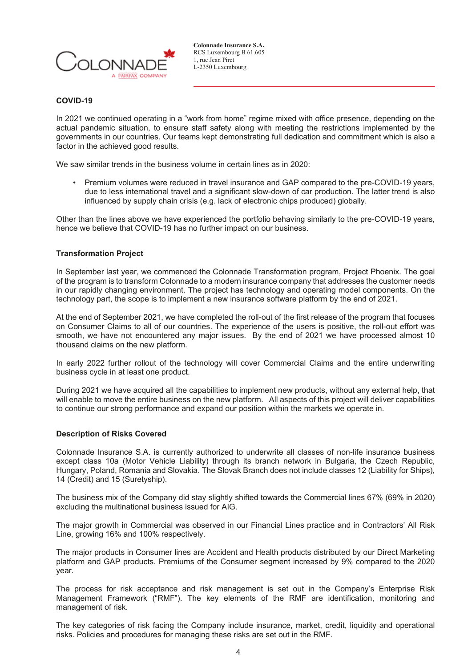

### **COVID-19**

In 2021 we continued operating in a "work from home" regime mixed with office presence, depending on the actual pandemic situation, to ensure staff safety along with meeting the restrictions implemented by the governments in our countries. Our teams kept demonstrating full dedication and commitment which is also a factor in the achieved good results.

We saw similar trends in the business volume in certain lines as in 2020:

• Premium volumes were reduced in travel insurance and GAP compared to the pre-COVID-19 years, due to less international travel and a significant slow-down of car production. The latter trend is also influenced by supply chain crisis (e.g. lack of electronic chips produced) globally.

Other than the lines above we have experienced the portfolio behaving similarly to the pre-COVID-19 years, hence we believe that COVID-19 has no further impact on our business.

### **Transformation Project**

In September last year, we commenced the Colonnade Transformation program, Project Phoenix. The goal of the program is to transform Colonnade to a modern insurance company that addresses the customer needs in our rapidly changing environment. The project has technology and operating model components. On the technology part, the scope is to implement a new insurance software platform by the end of 2021.

At the end of September 2021, we have completed the roll-out of the first release of the program that focuses on Consumer Claims to all of our countries. The experience of the users is positive, the roll-out effort was smooth, we have not encountered any major issues. By the end of 2021 we have processed almost 10 thousand claims on the new platform.

In early 2022 further rollout of the technology will cover Commercial Claims and the entire underwriting business cycle in at least one product.

During 2021 we have acquired all the capabilities to implement new products, without any external help, that will enable to move the entire business on the new platform. All aspects of this project will deliver capabilities to continue our strong performance and expand our position within the markets we operate in.

### **Description of Risks Covered**

Colonnade Insurance S.A. is currently authorized to underwrite all classes of non-life insurance business except class 10a (Motor Vehicle Liability) through its branch network in Bulgaria, the Czech Republic, Hungary, Poland, Romania and Slovakia. The Slovak Branch does not include classes 12 (Liability for Ships), 14 (Credit) and 15 (Suretyship).

The business mix of the Company did stay slightly shifted towards the Commercial lines 67% (69% in 2020) excluding the multinational business issued for AIG.

The major growth in Commercial was observed in our Financial Lines practice and in Contractors' All Risk Line, growing 16% and 100% respectively.

The major products in Consumer lines are Accident and Health products distributed by our Direct Marketing platform and GAP products. Premiums of the Consumer segment increased by 9% compared to the 2020 year.

The process for risk acceptance and risk management is set out in the Company's Enterprise Risk Management Framework ("RMF"). The key elements of the RMF are identification, monitoring and management of risk.

The key categories of risk facing the Company include insurance, market, credit, liquidity and operational risks. Policies and procedures for managing these risks are set out in the RMF.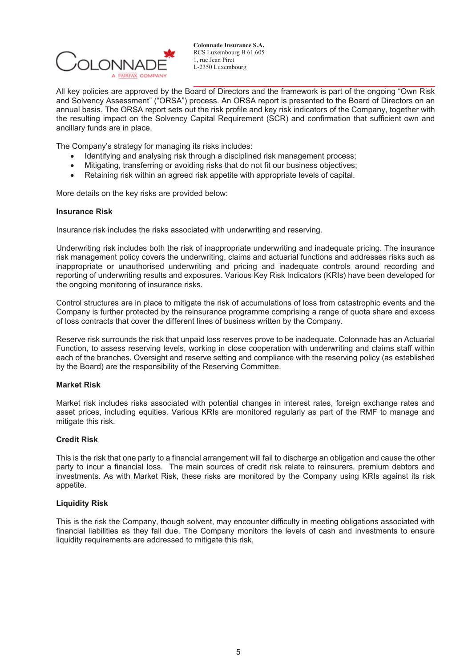

All key policies are approved by the Board of Directors and the framework is part of the ongoing "Own Risk and Solvency Assessment" ("ORSA") process. An ORSA report is presented to the Board of Directors on an annual basis. The ORSA report sets out the risk profile and key risk indicators of the Company, together with the resulting impact on the Solvency Capital Requirement (SCR) and confirmation that sufficient own and ancillary funds are in place.

The Company's strategy for managing its risks includes:

- $-$ Identifying and analysing risk through a disciplined risk management process;
- $\bullet$ Mitigating, transferring or avoiding risks that do not fit our business objectives;
- -Retaining risk within an agreed risk appetite with appropriate levels of capital.

More details on the key risks are provided below:

### **Insurance Risk**

Insurance risk includes the risks associated with underwriting and reserving.

Underwriting risk includes both the risk of inappropriate underwriting and inadequate pricing. The insurance risk management policy covers the underwriting, claims and actuarial functions and addresses risks such as inappropriate or unauthorised underwriting and pricing and inadequate controls around recording and reporting of underwriting results and exposures. Various Key Risk Indicators (KRIs) have been developed for the ongoing monitoring of insurance risks.

Control structures are in place to mitigate the risk of accumulations of loss from catastrophic events and the Company is further protected by the reinsurance programme comprising a range of quota share and excess of loss contracts that cover the different lines of business written by the Company.

Reserve risk surrounds the risk that unpaid loss reserves prove to be inadequate. Colonnade has an Actuarial Function, to assess reserving levels, working in close cooperation with underwriting and claims staff within each of the branches. Oversight and reserve setting and compliance with the reserving policy (as established by the Board) are the responsibility of the Reserving Committee.

### **Market Risk**

Market risk includes risks associated with potential changes in interest rates, foreign exchange rates and asset prices, including equities. Various KRIs are monitored regularly as part of the RMF to manage and mitigate this risk.

### **Credit Risk**

This is the risk that one party to a financial arrangement will fail to discharge an obligation and cause the other party to incur a financial loss. The main sources of credit risk relate to reinsurers, premium debtors and investments. As with Market Risk, these risks are monitored by the Company using KRIs against its risk appetite.

### **Liquidity Risk**

This is the risk the Company, though solvent, may encounter difficulty in meeting obligations associated with financial liabilities as they fall due. The Company monitors the levels of cash and investments to ensure liquidity requirements are addressed to mitigate this risk.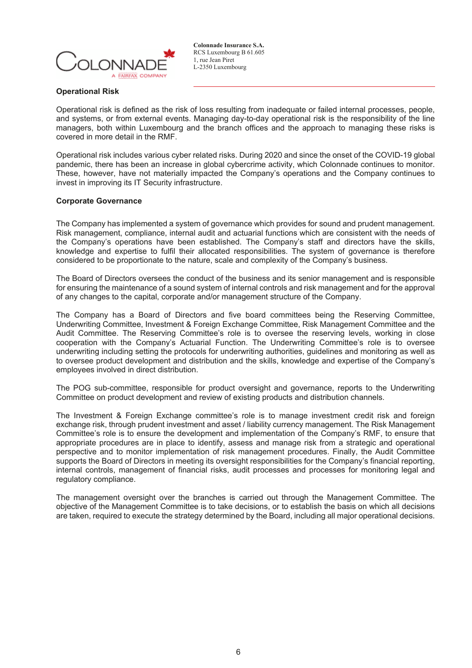

### **Operational Risk**

Operational risk is defined as the risk of loss resulting from inadequate or failed internal processes, people, and systems, or from external events. Managing day-to-day operational risk is the responsibility of the line managers, both within Luxembourg and the branch offices and the approach to managing these risks is covered in more detail in the RMF.

Operational risk includes various cyber related risks. During 2020 and since the onset of the COVID-19 global pandemic, there has been an increase in global cybercrime activity, which Colonnade continues to monitor. These, however, have not materially impacted the Company's operations and the Company continues to invest in improving its IT Security infrastructure.

### **Corporate Governance**

The Company has implemented a system of governance which provides for sound and prudent management. Risk management, compliance, internal audit and actuarial functions which are consistent with the needs of the Company's operations have been established. The Company's staff and directors have the skills, knowledge and expertise to fulfil their allocated responsibilities. The system of governance is therefore considered to be proportionate to the nature, scale and complexity of the Company's business.

The Board of Directors oversees the conduct of the business and its senior management and is responsible for ensuring the maintenance of a sound system of internal controls and risk management and for the approval of any changes to the capital, corporate and/or management structure of the Company.

The Company has a Board of Directors and five board committees being the Reserving Committee, Underwriting Committee, Investment & Foreign Exchange Committee, Risk Management Committee and the Audit Committee. The Reserving Committee's role is to oversee the reserving levels, working in close cooperation with the Company's Actuarial Function. The Underwriting Committee's role is to oversee underwriting including setting the protocols for underwriting authorities, guidelines and monitoring as well as to oversee product development and distribution and the skills, knowledge and expertise of the Company's employees involved in direct distribution.

The POG sub-committee, responsible for product oversight and governance, reports to the Underwriting Committee on product development and review of existing products and distribution channels.

The Investment & Foreign Exchange committee's role is to manage investment credit risk and foreign exchange risk, through prudent investment and asset / liability currency management. The Risk Management Committee's role is to ensure the development and implementation of the Company's RMF, to ensure that appropriate procedures are in place to identify, assess and manage risk from a strategic and operational perspective and to monitor implementation of risk management procedures. Finally, the Audit Committee supports the Board of Directors in meeting its oversight responsibilities for the Company's financial reporting, internal controls, management of financial risks, audit processes and processes for monitoring legal and regulatory compliance.

The management oversight over the branches is carried out through the Management Committee. The objective of the Management Committee is to take decisions, or to establish the basis on which all decisions are taken, required to execute the strategy determined by the Board, including all major operational decisions.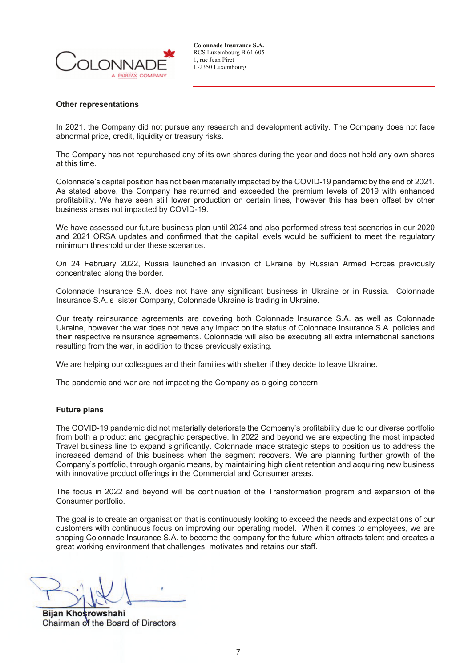

#### **Other representations**

In 2021, the Company did not pursue any research and development activity. The Company does not face abnormal price, credit, liquidity or treasury risks.

The Company has not repurchased any of its own shares during the year and does not hold any own shares at this time.

Colonnade's capital position has not been materially impacted by the COVID-19 pandemic by the end of 2021. As stated above, the Company has returned and exceeded the premium levels of 2019 with enhanced profitability. We have seen still lower production on certain lines, however this has been offset by other business areas not impacted by COVID-19.

We have assessed our future business plan until 2024 and also performed stress test scenarios in our 2020 and 2021 ORSA updates and confirmed that the capital levels would be sufficient to meet the regulatory minimum threshold under these scenarios.

On 24 February 2022, Russia launched an invasion of Ukraine by Russian Armed Forces previously concentrated along the border.

Colonnade Insurance S.A. does not have any significant business in Ukraine or in Russia. Colonnade Insurance S.A.'s sister Company, Colonnade Ukraine is trading in Ukraine.

Our treaty reinsurance agreements are covering both Colonnade Insurance S.A. as well as Colonnade Ukraine, however the war does not have any impact on the status of Colonnade Insurance S.A. policies and their respective reinsurance agreements. Colonnade will also be executing all extra international sanctions resulting from the war, in addition to those previously existing.

We are helping our colleagues and their families with shelter if they decide to leave Ukraine.

The pandemic and war are not impacting the Company as a going concern.

#### **Future plans**

The COVID-19 pandemic did not materially deteriorate the Company's profitability due to our diverse portfolio from both a product and geographic perspective. In 2022 and beyond we are expecting the most impacted Travel business line to expand significantly. Colonnade made strategic steps to position us to address the increased demand of this business when the segment recovers. We are planning further growth of the Company's portfolio, through organic means, by maintaining high client retention and acquiring new business with innovative product offerings in the Commercial and Consumer areas.

The focus in 2022 and beyond will be continuation of the Transformation program and expansion of the Consumer portfolio.

The goal is to create an organisation that is continuously looking to exceed the needs and expectations of our customers with continuous focus on improving our operating model. When it comes to employees, we are shaping Colonnade Insurance S.A. to become the company for the future which attracts talent and creates a great working environment that challenges, motivates and retains our staff.

**Bijan Khosrowshahi** Chairman of the Board of Directors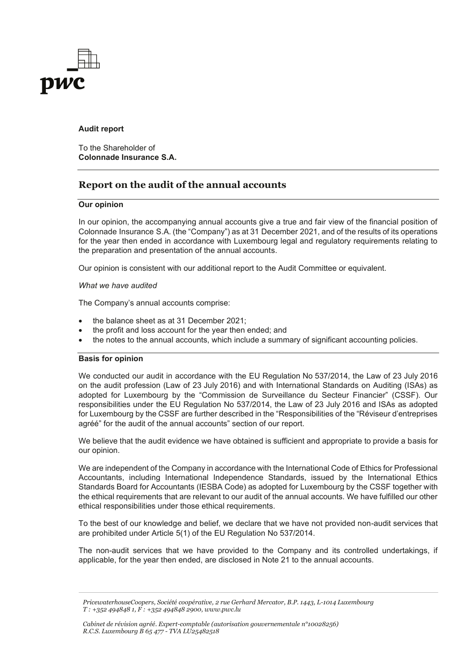

### **Audit report**

To the Shareholder of **Colonnade Insurance S.A.**

## **Report on the audit of the annual accounts**

### **Our opinion**

In our opinion, the accompanying annual accounts give a true and fair view of the financial position of Colonnade Insurance S.A. (the "Company") as at 31 December 2021, and of the results of its operations for the year then ended in accordance with Luxembourg legal and regulatory requirements relating to the preparation and presentation of the annual accounts.

Our opinion is consistent with our additional report to the Audit Committee or equivalent.

### *What we have audited*

The Company's annual accounts comprise:

- the balance sheet as at 31 December 2021;
- the profit and loss account for the year then ended; and
- the notes to the annual accounts, which include a summary of significant accounting policies.

### **Basis for opinion**

We conducted our audit in accordance with the EU Regulation No 537/2014, the Law of 23 July 2016 on the audit profession (Law of 23 July 2016) and with International Standards on Auditing (ISAs) as adopted for Luxembourg by the "Commission de Surveillance du Secteur Financier" (CSSF). Our responsibilities under the EU Regulation No 537/2014, the Law of 23 July 2016 and ISAs as adopted for Luxembourg by the CSSF are further described in the "Responsibilities of the "Réviseur d'entreprises agréé" for the audit of the annual accounts" section of our report.

We believe that the audit evidence we have obtained is sufficient and appropriate to provide a basis for our opinion.

We are independent of the Company in accordance with the International Code of Ethics for Professional Accountants, including International Independence Standards, issued by the International Ethics Standards Board for Accountants (IESBA Code) as adopted for Luxembourg by the CSSF together with the ethical requirements that are relevant to our audit of the annual accounts. We have fulfilled our other ethical responsibilities under those ethical requirements.

To the best of our knowledge and belief, we declare that we have not provided non-audit services that are prohibited under Article 5(1) of the EU Regulation No 537/2014.

The non-audit services that we have provided to the Company and its controlled undertakings, if applicable, for the year then ended, are disclosed in Note 21 to the annual accounts.

*PricewaterhouseCoopers, Société coopérative, 2 rue Gerhard Mercator, B.P. 1443, L-1014 Luxembourg T : +352 494848 1, F : +352 494848 2900, www.pwc.lu*

*Cabinet de révision agréé. Expert-comptable (autorisation gouvernementale n°10028256) R.C.S. Luxembourg B 65 477 - TVA LU25482518*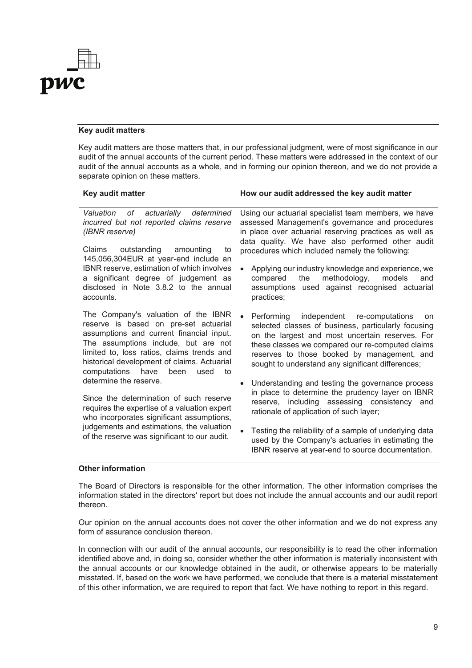

### **Key audit matters**

accounts.

IBNR reserve, estimation of which involves a significant degree of judgement as disclosed in Note 3.8.2 to the annual

assumptions and current financial input.

computations have been used to

Since the determination of such reserve requires the expertise of a valuation expert who incorporates significant assumptions, judgements and estimations, the valuation of the reserve was significant to our audit.

Key audit matters are those matters that, in our professional judgment, were of most significance in our audit of the annual accounts of the current period. These matters were addressed in the context of our audit of the annual accounts as a whole, and in forming our opinion thereon, and we do not provide a separate opinion on these matters.

#### **Key audit matter How our audit addressed the key audit matter** *Valuation of actuarially determined incurred but not reported claims reserve (IBNR reserve)* Claims outstanding amounting to 145,056,304EUR at year-end include an Using our actuarial specialist team members, we have assessed Management's governance and procedures in place over actuarial reserving practices as well as data quality. We have also performed other audit procedures which included namely the following:

Applying our industry knowledge and experience, we compared the methodology, models and assumptions used against recognised actuarial practices;

The Company's valuation of the IBNR reserve is based on pre-set actuarial The assumptions include, but are not limited to, loss ratios, claims trends and historical development of claims. Actuarial Performing independent re-computations on selected classes of business, particularly focusing on the largest and most uncertain reserves. For these classes we compared our re-computed claims reserves to those booked by management, and sought to understand any significant differences;

> Understanding and testing the governance process in place to determine the prudency layer on IBNR reserve, including assessing consistency and rationale of application of such layer;

> Testing the reliability of a sample of underlying data used by the Company's actuaries in estimating the IBNR reserve at year-end to source documentation.

### **Other information**

determine the reserve.

The Board of Directors is responsible for the other information. The other information comprises the information stated in the directors' report but does not include the annual accounts and our audit report thereon.

Our opinion on the annual accounts does not cover the other information and we do not express any form of assurance conclusion thereon.

In connection with our audit of the annual accounts, our responsibility is to read the other information identified above and, in doing so, consider whether the other information is materially inconsistent with the annual accounts or our knowledge obtained in the audit, or otherwise appears to be materially misstated. If, based on the work we have performed, we conclude that there is a material misstatement of this other information, we are required to report that fact. We have nothing to report in this regard.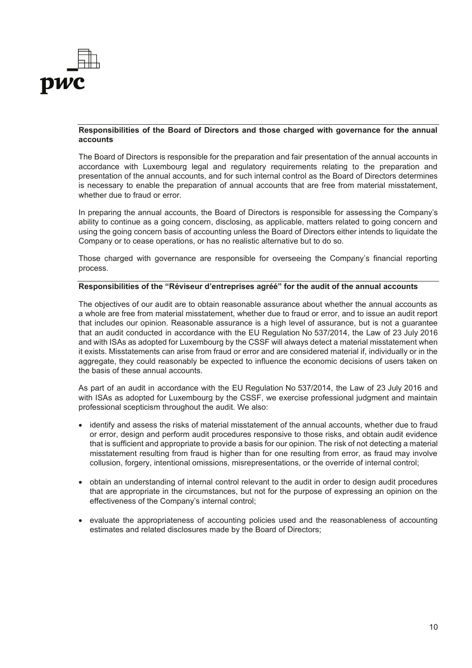

### **Responsibilities of the Board of Directors and those charged with governance for the annual accounts**

The Board of Directors is responsible for the preparation and fair presentation of the annual accounts in accordance with Luxembourg legal and regulatory requirements relating to the preparation and presentation of the annual accounts, and for such internal control as the Board of Directors determines is necessary to enable the preparation of annual accounts that are free from material misstatement, whether due to fraud or error.

In preparing the annual accounts, the Board of Directors is responsible for assessing the Company's ability to continue as a going concern, disclosing, as applicable, matters related to going concern and using the going concern basis of accounting unless the Board of Directors either intends to liquidate the Company or to cease operations, or has no realistic alternative but to do so.

Those charged with governance are responsible for overseeing the Company's financial reporting process.

### **Responsibilities of the "Réviseur d'entreprises agréé" for the audit of the annual accounts**

The objectives of our audit are to obtain reasonable assurance about whether the annual accounts as a whole are free from material misstatement, whether due to fraud or error, and to issue an audit report that includes our opinion. Reasonable assurance is a high level of assurance, but is not a guarantee that an audit conducted in accordance with the EU Regulation No 537/2014, the Law of 23 July 2016 and with ISAs as adopted for Luxembourg by the CSSF will always detect a material misstatement when it exists. Misstatements can arise from fraud or error and are considered material if, individually or in the aggregate, they could reasonably be expected to influence the economic decisions of users taken on the basis of these annual accounts.

As part of an audit in accordance with the EU Regulation No 537/2014, the Law of 23 July 2016 and with ISAs as adopted for Luxembourg by the CSSF, we exercise professional judgment and maintain professional scepticism throughout the audit. We also:

- identify and assess the risks of material misstatement of the annual accounts, whether due to fraud or error, design and perform audit procedures responsive to those risks, and obtain audit evidence that is sufficient and appropriate to provide a basis for our opinion. The risk of not detecting a material misstatement resulting from fraud is higher than for one resulting from error, as fraud may involve collusion, forgery, intentional omissions, misrepresentations, or the override of internal control;
- obtain an understanding of internal control relevant to the audit in order to design audit procedures that are appropriate in the circumstances, but not for the purpose of expressing an opinion on the effectiveness of the Company's internal control;
- evaluate the appropriateness of accounting policies used and the reasonableness of accounting estimates and related disclosures made by the Board of Directors;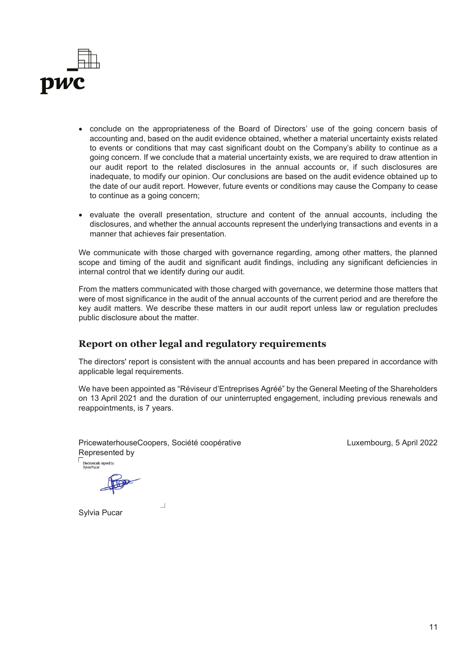

- conclude on the appropriateness of the Board of Directors' use of the going concern basis of accounting and, based on the audit evidence obtained, whether a material uncertainty exists related to events or conditions that may cast significant doubt on the Company's ability to continue as a going concern. If we conclude that a material uncertainty exists, we are required to draw attention in our audit report to the related disclosures in the annual accounts or, if such disclosures are inadequate, to modify our opinion. Our conclusions are based on the audit evidence obtained up to the date of our audit report. However, future events or conditions may cause the Company to cease to continue as a going concern;
- evaluate the overall presentation, structure and content of the annual accounts, including the disclosures, and whether the annual accounts represent the underlying transactions and events in a manner that achieves fair presentation.

We communicate with those charged with governance regarding, among other matters, the planned scope and timing of the audit and significant audit findings, including any significant deficiencies in internal control that we identify during our audit.

From the matters communicated with those charged with governance, we determine those matters that were of most significance in the audit of the annual accounts of the current period and are therefore the key audit matters. We describe these matters in our audit report unless law or regulation precludes public disclosure about the matter.

## **Report on other legal and regulatory requirements**

The directors' report is consistent with the annual accounts and has been prepared in accordance with applicable legal requirements.

We have been appointed as "Réviseur d'Entreprises Agréé" by the General Meeting of the Shareholders on 13 April 2021 and the duration of our uninterrupted engagement, including previous renewals and reappointments, is 7 years.

PricewaterhouseCoopers, Société coopérative Represented by Electronically signed by:

 $\Box$ 

Luxembourg, 5 April 2022

Sylvia Pucar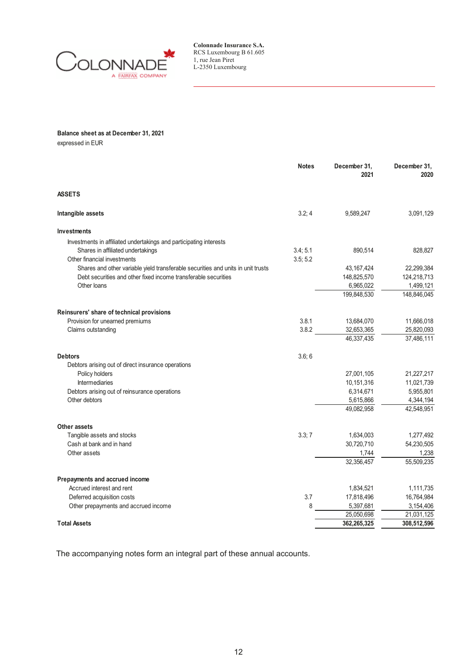

### **Balance sheet as at December 31, 2021**

expressed in EUR

|                                                                                  | <b>Notes</b> | December 31,<br>2021 | December 31,<br>2020 |
|----------------------------------------------------------------------------------|--------------|----------------------|----------------------|
| <b>ASSETS</b>                                                                    |              |                      |                      |
| Intangible assets                                                                | 3.2; 4       | 9,589,247            | 3,091,129            |
| <b>Investments</b>                                                               |              |                      |                      |
| Investments in affiliated undertakings and participating interests               |              |                      |                      |
| Shares in affiliated undertakings                                                | 3.4; 5.1     | 890,514              | 828,827              |
| Other financial investments                                                      | 3.5:5.2      |                      |                      |
| Shares and other variable yield transferable securities and units in unit trusts |              | 43, 167, 424         | 22,299,384           |
| Debt securities and other fixed income transferable securities                   |              | 148,825,570          | 124,218,713          |
| Other loans                                                                      |              | 6,965,022            | 1,499,121            |
|                                                                                  |              | 199,848,530          | 148,846,045          |
| Reinsurers' share of technical provisions                                        |              |                      |                      |
| Provision for unearned premiums                                                  | 3.8.1        | 13,684,070           | 11,666,018           |
| Claims outstanding                                                               | 3.8.2        | 32,653,365           | 25,820,093           |
|                                                                                  |              | 46,337,435           | 37,486,111           |
| <b>Debtors</b>                                                                   | 3.6; 6       |                      |                      |
| Debtors arising out of direct insurance operations                               |              |                      |                      |
| Policy holders                                                                   |              | 27,001,105           | 21,227,217           |
| <b>Intermediaries</b>                                                            |              | 10,151,316           | 11,021,739           |
| Debtors arising out of reinsurance operations                                    |              | 6,314,671            | 5,955,801            |
| Other debtors                                                                    |              | 5,615,866            | 4,344,194            |
|                                                                                  |              | 49,082,958           | 42,548,951           |
| Other assets                                                                     |              |                      |                      |
| Tangible assets and stocks                                                       | 3.3; 7       | 1,634,003            | 1,277,492            |
| Cash at bank and in hand                                                         |              | 30,720,710           | 54,230,505           |
| Other assets                                                                     |              | 1,744                | 1,238                |
|                                                                                  |              | 32,356,457           | 55,509,235           |
| Prepayments and accrued income                                                   |              |                      |                      |
| Accrued interest and rent                                                        |              | 1,834,521            | 1,111,735            |
| Deferred acquisition costs                                                       | 3.7          | 17,818,496           | 16,764,984           |
| Other prepayments and accrued income                                             | 8            | 5,397,681            | 3,154,406            |
|                                                                                  |              | 25,050,698           | 21,031,125           |
| <b>Total Assets</b>                                                              |              | 362.265.325          | 308,512,596          |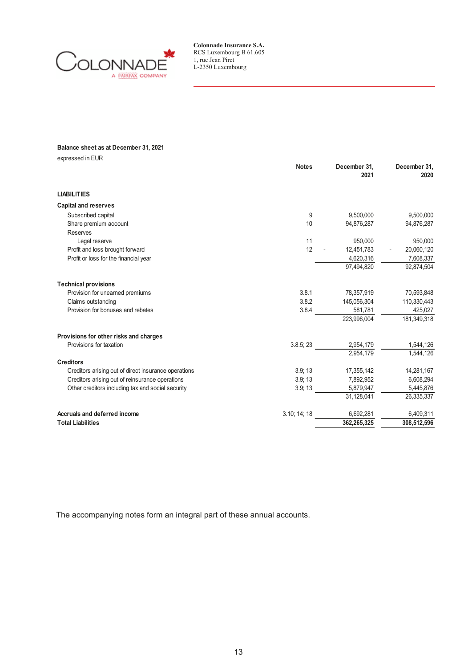

### **Balance sheet as at December 31, 2021**

expressed in EUR

|                                                      | <b>Notes</b> | December 31,<br>2021 | December 31,<br>2020 |
|------------------------------------------------------|--------------|----------------------|----------------------|
| <b>LIABILITIES</b>                                   |              |                      |                      |
| <b>Capital and reserves</b>                          |              |                      |                      |
| Subscribed capital                                   | 9            | 9,500,000            | 9,500,000            |
| Share premium account                                | 10           | 94,876,287           | 94,876,287           |
| <b>Reserves</b>                                      |              |                      |                      |
| Legal reserve                                        | 11           | 950,000              | 950,000              |
| Profit and loss brought forward                      | 12           | 12,451,783           | 20,060,120           |
| Profit or loss for the financial year                |              | 4,620,316            | 7,608,337            |
|                                                      |              | 97,494,820           | 92,874,504           |
| <b>Technical provisions</b>                          |              |                      |                      |
| Provision for unearned premiums                      | 3.8.1        | 78,357,919           | 70,593,848           |
| Claims outstanding                                   | 3.8.2        | 145,056,304          | 110,330,443          |
| Provision for bonuses and rebates                    | 3.8.4        | 581,781              | 425,027              |
|                                                      |              | 223,996,004          | 181,349,318          |
| Provisions for other risks and charges               |              |                      |                      |
| Provisions for taxation                              | 3.8.5; 23    | 2,954,179            | 1,544,126            |
|                                                      |              | 2.954.179            | 1,544,126            |
| <b>Creditors</b>                                     |              |                      |                      |
| Creditors arising out of direct insurance operations | 3.9; 13      | 17,355,142           | 14,281,167           |
| Creditors arising out of reinsurance operations      | 3.9:13       | 7,892,952            | 6,608,294            |
| Other creditors including tax and social security    | 3.9; 13      | 5,879,947            | 5,445,876            |
|                                                      |              | 31,128,041           | 26,335,337           |
| Accruals and deferred income                         | 3.10; 14; 18 | 6,692,281            | 6,409,311            |
| <b>Total Liabilities</b>                             |              | 362,265,325          | 308,512,596          |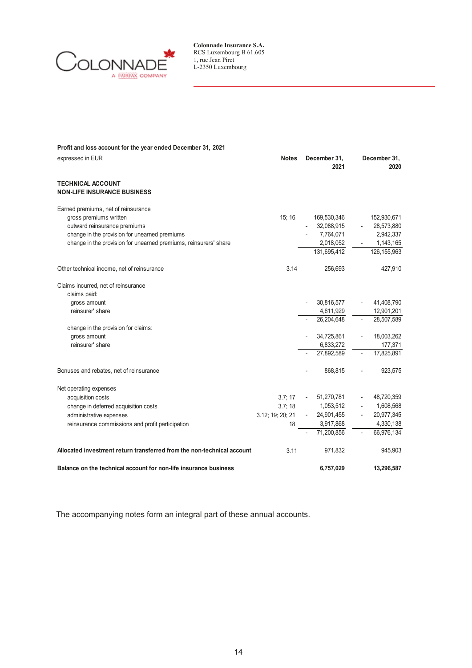

| Profit and loss account for the year ended December 31, 2021           |                  |                      |    |                      |
|------------------------------------------------------------------------|------------------|----------------------|----|----------------------|
| expressed in EUR                                                       | <b>Notes</b>     | December 31,<br>2021 |    | December 31,<br>2020 |
| <b>TECHNICAL ACCOUNT</b><br><b>NON-LIFE INSURANCE BUSINESS</b>         |                  |                      |    |                      |
|                                                                        |                  |                      |    |                      |
| Earned premiums, net of reinsurance                                    |                  |                      |    |                      |
| gross premiums written                                                 | 15:16            | 169,530,346          |    | 152,930,671          |
| outward reinsurance premiums                                           |                  | 32,088,915           |    | 28,573,880           |
| change in the provision for unearned premiums                          |                  | 7,764,071            |    | 2,942,337            |
| change in the provision for unearned premiums, reinsurers' share       |                  | 2,018,052            |    | 1,143,165            |
|                                                                        |                  | 131,695,412          |    | 126,155,963          |
| Other technical income, net of reinsurance                             | 3.14             | 256.693              |    | 427,910              |
| Claims incurred, net of reinsurance                                    |                  |                      |    |                      |
| claims paid:                                                           |                  |                      |    |                      |
| gross amount                                                           |                  | 30,816,577           |    | 41,408,790           |
| reinsurer' share                                                       |                  | 4,611,929            |    | 12,901,201           |
|                                                                        |                  | 26,204,648           |    | 28,507,589           |
| change in the provision for claims:                                    |                  |                      |    |                      |
| gross amount                                                           |                  | 34,725,861           |    | 18,003,262           |
| reinsurer' share                                                       |                  | 6,833,272            |    | 177,371              |
|                                                                        |                  | 27,892,589           |    | 17,825,891           |
| Bonuses and rebates, net of reinsurance                                |                  | 868,815              |    | 923,575              |
| Net operating expenses                                                 |                  |                      |    |                      |
| acquisition costs                                                      | 3.7; 17          | 51,270,781           |    | 48,720,359           |
| change in deferred acquisition costs                                   | 3.7; 18          | 1,053,512            |    | 1,608,568            |
| administrative expenses                                                | 3.12; 19; 20; 21 | 24,901,455           |    | 20,977,345           |
| reinsurance commissions and profit participation                       | 18               | 3,917,868            |    | 4,330,138            |
|                                                                        |                  | 71.200.856           | ÷, | 66,976,134           |
| Allocated investment return transferred from the non-technical account | 3.11             | 971,832              |    | 945,903              |
| Balance on the technical account for non-life insurance business       |                  | 6,757,029            |    | 13,296,587           |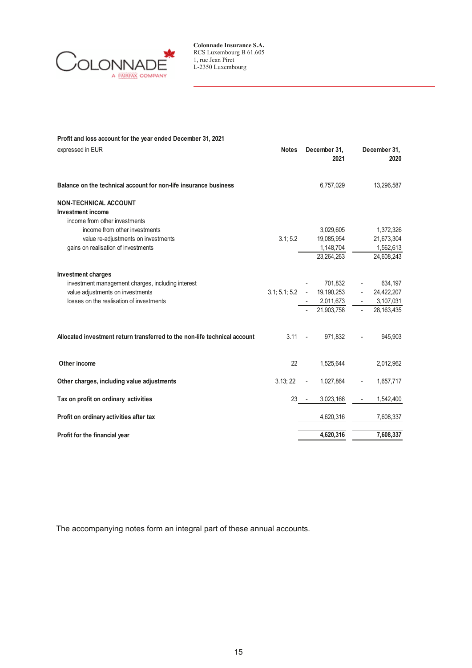

| Profit and loss account for the year ended December 31, 2021              |              |                              |                      |
|---------------------------------------------------------------------------|--------------|------------------------------|----------------------|
| expressed in EUR                                                          | <b>Notes</b> | December 31,<br>2021         | December 31,<br>2020 |
| Balance on the technical account for non-life insurance business          |              | 6,757,029                    | 13,296,587           |
| <b>NON-TECHNICAL ACCOUNT</b>                                              |              |                              |                      |
| Investment income                                                         |              |                              |                      |
| income from other investments                                             |              |                              |                      |
| income from other investments                                             |              | 3,029,605                    | 1,372,326            |
| value re-adjustments on investments                                       | 3.1; 5.2     | 19,085,954                   | 21,673,304           |
| gains on realisation of investments                                       |              | 1,148,704                    | 1,562,613            |
|                                                                           |              | 23.264.263                   | 24,608,243           |
| Investment charges                                                        |              |                              |                      |
| investment management charges, including interest                         |              | 701,832                      | 634,197              |
| value adjustments on investments                                          |              | $3.1; 5.1; 5.2 - 19,190,253$ | 24,422,207           |
| losses on the realisation of investments                                  |              | 2,011,673                    | 3,107,031            |
|                                                                           |              | 21,903,758                   | 28,163,435           |
| Allocated investment return transferred to the non-life technical account | $3.11 -$     | 971,832                      | 945,903              |
| Other income                                                              | 22           | 1,525,644                    | 2,012,962            |
| Other charges, including value adjustments                                | 3.13; 22     | 1,027,864                    | 1,657,717            |
| Tax on profit on ordinary activities                                      | $23 - -$     | 3,023,166                    | 1,542,400            |
| Profit on ordinary activities after tax                                   |              | 4,620,316                    | 7,608,337            |
| Profit for the financial year                                             |              | 4,620,316                    | 7,608,337            |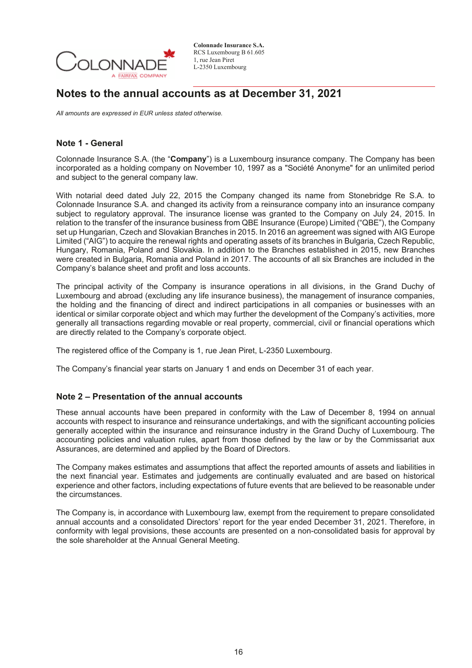

## **Notes to the annual accounts as at December 31, 2021**

*All amounts are expressed in EUR unless stated otherwise.* 

## **Note 1 - General**

Colonnade Insurance S.A. (the "**Company**") is a Luxembourg insurance company. The Company has been incorporated as a holding company on November 10, 1997 as a "Société Anonyme" for an unlimited period and subject to the general company law.

With notarial deed dated July 22, 2015 the Company changed its name from Stonebridge Re S.A. to Colonnade Insurance S.A. and changed its activity from a reinsurance company into an insurance company subject to regulatory approval. The insurance license was granted to the Company on July 24, 2015. In relation to the transfer of the insurance business from QBE Insurance (Europe) Limited ("QBE"), the Company set up Hungarian, Czech and Slovakian Branches in 2015. In 2016 an agreement was signed with AIG Europe Limited ("AIG") to acquire the renewal rights and operating assets of its branches in Bulgaria, Czech Republic, Hungary, Romania, Poland and Slovakia. In addition to the Branches established in 2015, new Branches were created in Bulgaria, Romania and Poland in 2017. The accounts of all six Branches are included in the Company's balance sheet and profit and loss accounts.

The principal activity of the Company is insurance operations in all divisions, in the Grand Duchy of Luxembourg and abroad (excluding any life insurance business), the management of insurance companies, the holding and the financing of direct and indirect participations in all companies or businesses with an identical or similar corporate object and which may further the development of the Company's activities, more generally all transactions regarding movable or real property, commercial, civil or financial operations which are directly related to the Company's corporate object.

The registered office of the Company is 1, rue Jean Piret, L-2350 Luxembourg.

The Company's financial year starts on January 1 and ends on December 31 of each year.

## **Note 2 – Presentation of the annual accounts**

These annual accounts have been prepared in conformity with the Law of December 8, 1994 on annual accounts with respect to insurance and reinsurance undertakings, and with the significant accounting policies generally accepted within the insurance and reinsurance industry in the Grand Duchy of Luxembourg. The accounting policies and valuation rules, apart from those defined by the law or by the Commissariat aux Assurances, are determined and applied by the Board of Directors.

The Company makes estimates and assumptions that affect the reported amounts of assets and liabilities in the next financial year. Estimates and judgements are continually evaluated and are based on historical experience and other factors, including expectations of future events that are believed to be reasonable under the circumstances.

The Company is, in accordance with Luxembourg law, exempt from the requirement to prepare consolidated annual accounts and a consolidated Directors' report for the year ended December 31, 2021. Therefore, in conformity with legal provisions, these accounts are presented on a non-consolidated basis for approval by the sole shareholder at the Annual General Meeting.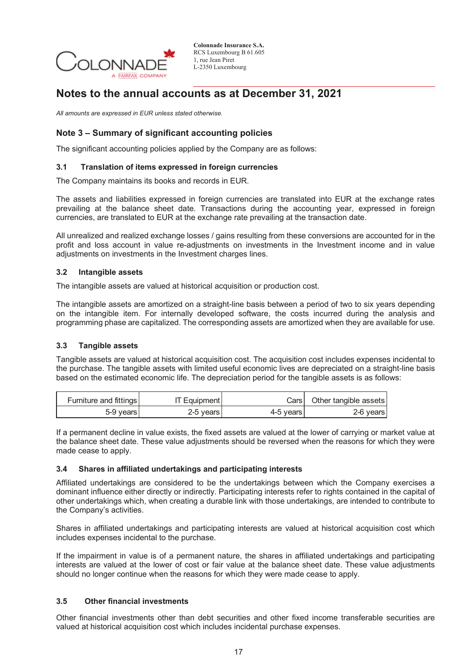

## **Notes to the annual accounts as at December 31, 2021**

*All amounts are expressed in EUR unless stated otherwise.* 

## **Note 3 – Summary of significant accounting policies**

The significant accounting policies applied by the Company are as follows:

### **3.1 Translation of items expressed in foreign currencies**

The Company maintains its books and records in EUR.

The assets and liabilities expressed in foreign currencies are translated into EUR at the exchange rates prevailing at the balance sheet date. Transactions during the accounting year, expressed in foreign currencies, are translated to EUR at the exchange rate prevailing at the transaction date.

All unrealized and realized exchange losses / gains resulting from these conversions are accounted for in the profit and loss account in value re-adjustments on investments in the Investment income and in value adjustments on investments in the Investment charges lines.

### **3.2 Intangible assets**

The intangible assets are valued at historical acquisition or production cost.

The intangible assets are amortized on a straight-line basis between a period of two to six years depending on the intangible item. For internally developed software, the costs incurred during the analysis and programming phase are capitalized. The corresponding assets are amortized when they are available for use.

### **3.3 Tangible assets**

Tangible assets are valued at historical acquisition cost. The acquisition cost includes expenses incidental to the purchase. The tangible assets with limited useful economic lives are depreciated on a straight-line basis based on the estimated economic life. The depreciation period for the tangible assets is as follows:

| Furniture and fittings | <b>IT Equipment</b> |             | Cars   Other tangible assets |
|------------------------|---------------------|-------------|------------------------------|
| 5-9 years              | 2-5 vears           | 4-5 vears l | 2-6 vears                    |

If a permanent decline in value exists, the fixed assets are valued at the lower of carrying or market value at the balance sheet date. These value adjustments should be reversed when the reasons for which they were made cease to apply.

### **3.4 Shares in affiliated undertakings and participating interests**

Affiliated undertakings are considered to be the undertakings between which the Company exercises a dominant influence either directly or indirectly. Participating interests refer to rights contained in the capital of other undertakings which, when creating a durable link with those undertakings, are intended to contribute to the Company's activities.

Shares in affiliated undertakings and participating interests are valued at historical acquisition cost which includes expenses incidental to the purchase.

If the impairment in value is of a permanent nature, the shares in affiliated undertakings and participating interests are valued at the lower of cost or fair value at the balance sheet date. These value adjustments should no longer continue when the reasons for which they were made cease to apply.

### **3.5 Other financial investments**

Other financial investments other than debt securities and other fixed income transferable securities are valued at historical acquisition cost which includes incidental purchase expenses.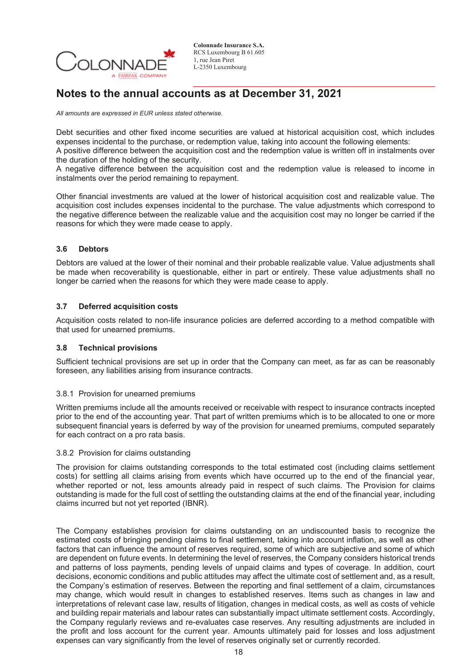

## **Notes to the annual accounts as at December 31, 2021**

*All amounts are expressed in EUR unless stated otherwise.* 

Debt securities and other fixed income securities are valued at historical acquisition cost, which includes expenses incidental to the purchase, or redemption value, taking into account the following elements:

A positive difference between the acquisition cost and the redemption value is written off in instalments over the duration of the holding of the security.

A negative difference between the acquisition cost and the redemption value is released to income in instalments over the period remaining to repayment.

Other financial investments are valued at the lower of historical acquisition cost and realizable value. The acquisition cost includes expenses incidental to the purchase. The value adjustments which correspond to the negative difference between the realizable value and the acquisition cost may no longer be carried if the reasons for which they were made cease to apply.

### **3.6 Debtors**

Debtors are valued at the lower of their nominal and their probable realizable value. Value adjustments shall be made when recoverability is questionable, either in part or entirely. These value adjustments shall no longer be carried when the reasons for which they were made cease to apply.

### **3.7 Deferred acquisition costs**

Acquisition costs related to non-life insurance policies are deferred according to a method compatible with that used for unearned premiums.

### **3.8 Technical provisions**

Sufficient technical provisions are set up in order that the Company can meet, as far as can be reasonably foreseen, any liabilities arising from insurance contracts.

### 3.8.1 Provision for unearned premiums

Written premiums include all the amounts received or receivable with respect to insurance contracts incepted prior to the end of the accounting year. That part of written premiums which is to be allocated to one or more subsequent financial years is deferred by way of the provision for unearned premiums, computed separately for each contract on a pro rata basis.

### 3.8.2 Provision for claims outstanding

The provision for claims outstanding corresponds to the total estimated cost (including claims settlement costs) for settling all claims arising from events which have occurred up to the end of the financial year, whether reported or not, less amounts already paid in respect of such claims. The Provision for claims outstanding is made for the full cost of settling the outstanding claims at the end of the financial year, including claims incurred but not yet reported (IBNR).

The Company establishes provision for claims outstanding on an undiscounted basis to recognize the estimated costs of bringing pending claims to final settlement, taking into account inflation, as well as other factors that can influence the amount of reserves required, some of which are subjective and some of which are dependent on future events. In determining the level of reserves, the Company considers historical trends and patterns of loss payments, pending levels of unpaid claims and types of coverage. In addition, court decisions, economic conditions and public attitudes may affect the ultimate cost of settlement and, as a result, the Company's estimation of reserves. Between the reporting and final settlement of a claim, circumstances may change, which would result in changes to established reserves. Items such as changes in law and interpretations of relevant case law, results of litigation, changes in medical costs, as well as costs of vehicle and building repair materials and labour rates can substantially impact ultimate settlement costs. Accordingly, the Company regularly reviews and re-evaluates case reserves. Any resulting adjustments are included in the profit and loss account for the current year. Amounts ultimately paid for losses and loss adjustment expenses can vary significantly from the level of reserves originally set or currently recorded.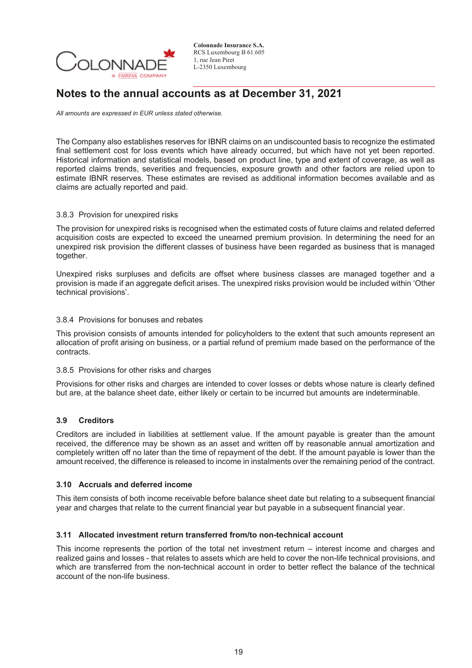

## **Notes to the annual accounts as at December 31, 2021**

*All amounts are expressed in EUR unless stated otherwise.* 

The Company also establishes reserves for IBNR claims on an undiscounted basis to recognize the estimated final settlement cost for loss events which have already occurred, but which have not yet been reported. Historical information and statistical models, based on product line, type and extent of coverage, as well as reported claims trends, severities and frequencies, exposure growth and other factors are relied upon to estimate IBNR reserves. These estimates are revised as additional information becomes available and as claims are actually reported and paid.

### 3.8.3 Provision for unexpired risks

The provision for unexpired risks is recognised when the estimated costs of future claims and related deferred acquisition costs are expected to exceed the unearned premium provision. In determining the need for an unexpired risk provision the different classes of business have been regarded as business that is managed together.

Unexpired risks surpluses and deficits are offset where business classes are managed together and a provision is made if an aggregate deficit arises. The unexpired risks provision would be included within 'Other technical provisions'.

### 3.8.4 Provisions for bonuses and rebates

This provision consists of amounts intended for policyholders to the extent that such amounts represent an allocation of profit arising on business, or a partial refund of premium made based on the performance of the contracts.

### 3.8.5 Provisions for other risks and charges

Provisions for other risks and charges are intended to cover losses or debts whose nature is clearly defined but are, at the balance sheet date, either likely or certain to be incurred but amounts are indeterminable.

### **3.9 Creditors**

Creditors are included in liabilities at settlement value. If the amount payable is greater than the amount received, the difference may be shown as an asset and written off by reasonable annual amortization and completely written off no later than the time of repayment of the debt. If the amount payable is lower than the amount received, the difference is released to income in instalments over the remaining period of the contract.

### **3.10 Accruals and deferred income**

This item consists of both income receivable before balance sheet date but relating to a subsequent financial year and charges that relate to the current financial year but payable in a subsequent financial year.

### **3.11 Allocated investment return transferred from/to non-technical account**

This income represents the portion of the total net investment return – interest income and charges and realized gains and losses - that relates to assets which are held to cover the non-life technical provisions, and which are transferred from the non-technical account in order to better reflect the balance of the technical account of the non-life business.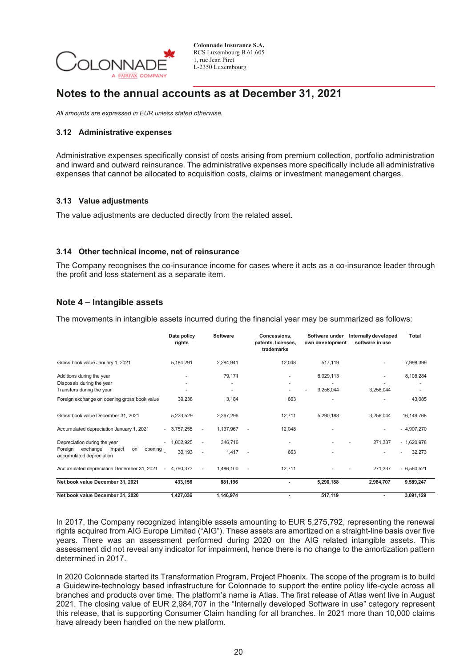

## **Notes to the annual accounts as at December 31, 2021**

*All amounts are expressed in EUR unless stated otherwise.* 

### **3.12 Administrative expenses**

Administrative expenses specifically consist of costs arising from premium collection, portfolio administration and inward and outward reinsurance. The administrative expenses more specifically include all administrative expenses that cannot be allocated to acquisition costs, claims or investment management charges.

### **3.13 Value adjustments**

The value adjustments are deducted directly from the related asset.

### **3.14 Other technical income, net of reinsurance**

The Company recognises the co-insurance income for cases where it acts as a co-insurance leader through the profit and loss statement as a separate item.

## **Note 4 – Intangible assets**

The movements in intangible assets incurred during the financial year may be summarized as follows:

|                                                                                                                      | Data policy<br>rights | Software         | Concessions.<br>patents, licenses,<br>trademarks | Software under<br>own development | Internally developed<br>software in use | <b>Total</b>                |
|----------------------------------------------------------------------------------------------------------------------|-----------------------|------------------|--------------------------------------------------|-----------------------------------|-----------------------------------------|-----------------------------|
| Gross book value January 1, 2021                                                                                     | 5,184,291             | 2,284,941        | 12,048                                           | 517,119                           |                                         | 7,998,399                   |
| Additions during the year<br>Disposals during the year<br>Transfers during the year                                  |                       | 79,171           |                                                  | 8,029,113<br>3,256,044            | 3,256,044                               | 8,108,284                   |
| Foreign exchange on opening gross book value                                                                         | 39,238                | 3,184            | 663                                              | $\overline{\phantom{0}}$          |                                         | 43,085                      |
| Gross book value December 31, 2021                                                                                   | 5,223,529             | 2,367,296        | 12,711                                           | 5,290,188                         | 3,256,044                               | 16, 149, 768                |
| Accumulated depreciation January 1, 2021                                                                             | $-3,757,255$          | 1,137,967        | 12,048                                           |                                   |                                         | $-4,907,270$                |
| Depreciation during the year<br>$\sim$<br>exchange<br>impact<br>Foreign<br>on<br>opening<br>accumulated depreciation | 1,002,925<br>30,193   | 346,716<br>1,417 | ٠<br>663<br>$\sim$                               |                                   | 271,337                                 | $-1,620,978$<br>32,273<br>٠ |
| Accumulated depreciation December 31, 2021<br>$\sim$                                                                 | 4,790,373             | 1,486,100        | 12,711                                           |                                   | 271,337                                 | $-6,560,521$                |
| Net book value December 31, 2021                                                                                     | 433,156               | 881,196          | $\overline{\phantom{a}}$                         | 5,290,188                         | 2,984,707                               | 9,589,247                   |
| Net book value December 31, 2020                                                                                     | 1,427,036             | 1,146,974        | ۰                                                | 517,119                           |                                         | 3,091,129                   |

In 2017, the Company recognized intangible assets amounting to EUR 5,275,792, representing the renewal rights acquired from AIG Europe Limited ("AIG"). These assets are amortized on a straight-line basis over five years. There was an assessment performed during 2020 on the AIG related intangible assets. This assessment did not reveal any indicator for impairment, hence there is no change to the amortization pattern determined in 2017.

In 2020 Colonnade started its Transformation Program, Project Phoenix. The scope of the program is to build a Guidewire-technology based infrastructure for Colonnade to support the entire policy life-cycle across all branches and products over time. The platform's name is Atlas. The first release of Atlas went live in August 2021. The closing value of EUR 2,984,707 in the "Internally developed Software in use" category represent this release, that is supporting Consumer Claim handling for all branches. In 2021 more than 10,000 claims have already been handled on the new platform.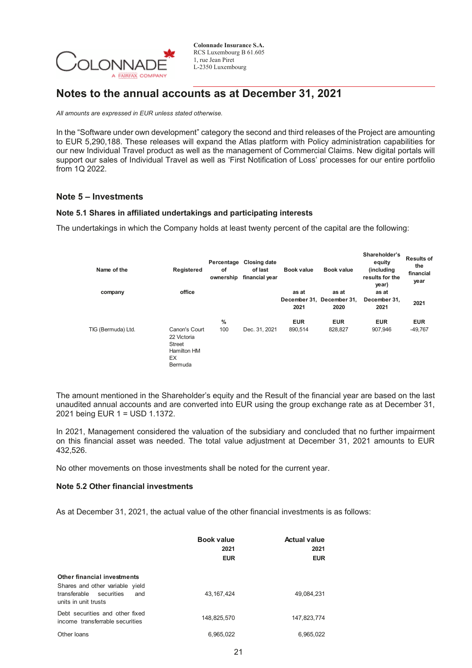

## **Notes to the annual accounts as at December 31, 2021**

*All amounts are expressed in EUR unless stated otherwise.* 

In the "Software under own development" category the second and third releases of the Project are amounting to EUR 5,290,188. These releases will expand the Atlas platform with Policy administration capabilities for our new Individual Travel product as well as the management of Commercial Claims. New digital portals will support our sales of Individual Travel as well as 'First Notification of Loss' processes for our entire portfolio from 1Q 2022.

## **Note 5 – Investments**

### **Note 5.1 Shares in affiliated undertakings and participating interests**

The undertakings in which the Company holds at least twenty percent of the capital are the following:

| Name of the        | Registered                                                                           | of<br>ownership | Percentage Closing date<br>of last<br>financial year | <b>Book value</b> | <b>Book value</b>                          | Shareholder's<br>equity<br>(including<br>results for the<br>year) | <b>Results of</b><br>the<br>financial<br>year |
|--------------------|--------------------------------------------------------------------------------------|-----------------|------------------------------------------------------|-------------------|--------------------------------------------|-------------------------------------------------------------------|-----------------------------------------------|
| company            | office                                                                               |                 |                                                      | as at<br>2021     | as at<br>December 31, December 31,<br>2020 | as at<br>December 31,<br>2021                                     | 2021                                          |
|                    |                                                                                      | %               |                                                      | <b>EUR</b>        | <b>EUR</b>                                 | <b>EUR</b>                                                        | <b>EUR</b>                                    |
| TIG (Bermuda) Ltd. | Canon's Court<br>22 Victoria<br><b>Street</b><br><b>Hamilton HM</b><br>EX<br>Bermuda | 100             | Dec. 31, 2021                                        | 890.514           | 828,827                                    | 907.946                                                           | $-49,767$                                     |

The amount mentioned in the Shareholder's equity and the Result of the financial year are based on the last unaudited annual accounts and are converted into EUR using the group exchange rate as at December 31, 2021 being EUR 1 = USD 1.1372.

In 2021, Management considered the valuation of the subsidiary and concluded that no further impairment on this financial asset was needed. The total value adjustment at December 31, 2021 amounts to EUR 432,526.

No other movements on those investments shall be noted for the current year.

### **Note 5.2 Other financial investments**

As at December 31, 2021, the actual value of the other financial investments is as follows:

|                                                                                                                             | <b>Book value</b><br>2021<br><b>EUR</b> | <b>Actual value</b><br>2021<br><b>EUR</b> |
|-----------------------------------------------------------------------------------------------------------------------------|-----------------------------------------|-------------------------------------------|
| Other financial investments<br>Shares and other variable yield<br>transferable<br>securities<br>and<br>units in unit trusts | 43, 167, 424                            | 49,084,231                                |
| Debt securities and other fixed<br>income transferrable securities                                                          | 148.825.570                             | 147,823,774                               |
| Other loans                                                                                                                 | 6.965.022                               | 6.965.022                                 |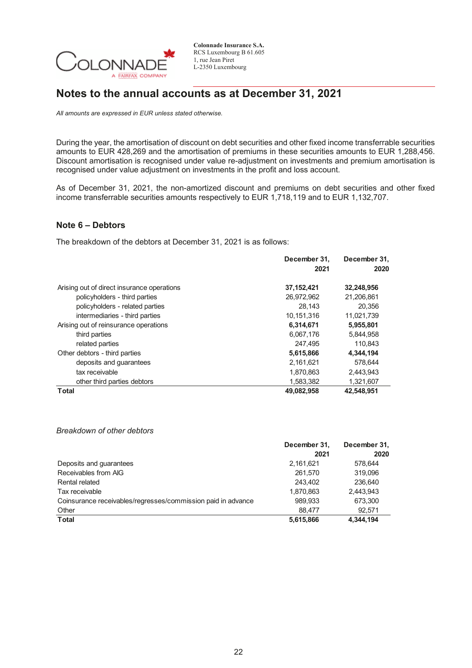

## **Notes to the annual accounts as at December 31, 2021**

*All amounts are expressed in EUR unless stated otherwise.* 

During the year, the amortisation of discount on debt securities and other fixed income transferrable securities amounts to EUR 428,269 and the amortisation of premiums in these securities amounts to EUR 1,288,456. Discount amortisation is recognised under value re-adjustment on investments and premium amortisation is recognised under value adjustment on investments in the profit and loss account.

As of December 31, 2021, the non-amortized discount and premiums on debt securities and other fixed income transferrable securities amounts respectively to EUR 1,718,119 and to EUR 1,132,707.

## **Note 6 – Debtors**

The breakdown of the debtors at December 31, 2021 is as follows:

|                                            | December 31.<br>2021 | December 31.<br>2020 |
|--------------------------------------------|----------------------|----------------------|
| Arising out of direct insurance operations | 37, 152, 421         | 32,248,956           |
| policyholders - third parties              | 26.972.962           | 21.206.861           |
| policyholders - related parties            | 28.143               | 20.356               |
| intermediaries - third parties             | 10.151.316           | 11,021,739           |
| Arising out of reinsurance operations      | 6,314,671            | 5,955,801            |
| third parties                              | 6,067,176            | 5,844,958            |
| related parties                            | 247.495              | 110.843              |
| Other debtors - third parties              | 5,615,866            | 4,344,194            |
| deposits and quarantees                    | 2,161,621            | 578.644              |
| tax receivable                             | 1,870,863            | 2,443,943            |
| other third parties debtors                | 1,583,382            | 1,321,607            |
| <b>Total</b>                               | 49,082,958           | 42,548,951           |

### *Breakdown of other debtors*

|                                                              | December 31, | December 31, |
|--------------------------------------------------------------|--------------|--------------|
|                                                              | 2021         | 2020         |
| Deposits and guarantees                                      | 2,161,621    | 578.644      |
| Receivables from AIG                                         | 261.570      | 319.096      |
| Rental related                                               | 243.402      | 236,640      |
| Tax receivable                                               | 1.870.863    | 2.443.943    |
| Coinsurance receivables/regresses/commission paid in advance | 989,933      | 673,300      |
| Other                                                        | 88.477       | 92.571       |
| <b>Total</b>                                                 | 5,615,866    | 4,344,194    |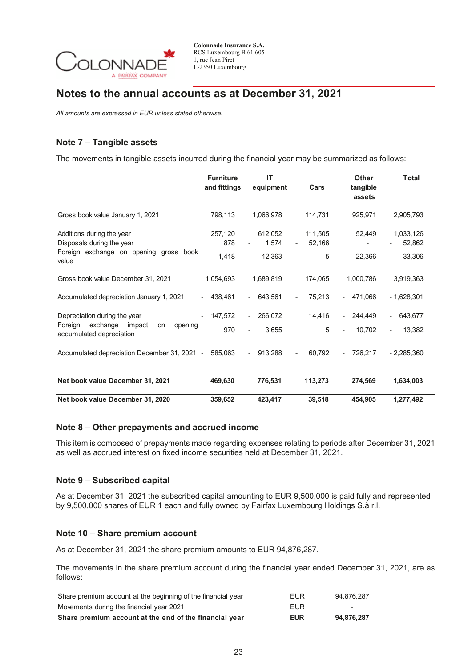

## **Notes to the annual accounts as at December 31, 2021**

*All amounts are expressed in EUR unless stated otherwise.* 

## **Note 7 – Tangible assets**

The movements in tangible assets incurred during the financial year may be summarized as follows:

|                                                                                                  | <b>Furniture</b><br>and fittings | <b>IT</b><br>equipment                       | Cars                                          | <b>Other</b><br>tangible<br>assets  | <b>Total</b>             |
|--------------------------------------------------------------------------------------------------|----------------------------------|----------------------------------------------|-----------------------------------------------|-------------------------------------|--------------------------|
| Gross book value January 1, 2021                                                                 | 798,113                          | 1,066,978                                    | 114,731                                       | 925,971                             | 2,905,793                |
| Additions during the year<br>Disposals during the year<br>Foreign exchange on opening gross book | 257,120<br>878                   | 612,052<br>1,574<br>$\overline{\phantom{a}}$ | 111,505<br>52,166<br>$\overline{\phantom{0}}$ | 52,449                              | 1,033,126<br>52,862      |
| value                                                                                            | 1,418                            | 12,363                                       | 5                                             | 22,366                              | 33,306                   |
| Gross book value December 31, 2021                                                               | 1,054,693                        | 1,689,819                                    | 174,065                                       | 1,000,786                           | 3,919,363                |
| Accumulated depreciation January 1, 2021                                                         | $-438,461$                       | $-643,561$                                   | 75,213<br>$\overline{\phantom{a}}$            | 471,066<br>$\blacksquare$           | $-1,628,301$             |
| Depreciation during the year                                                                     | 147,572                          | 266,072<br>$\blacksquare$                    | 14,416                                        | 244,449<br>$\blacksquare$           | 643,677<br>$\sim$        |
| Foreign<br>exchange<br>impact<br>opening<br>on<br>accumulated depreciation                       | 970                              | 3,655<br>$\overline{\phantom{0}}$            | 5                                             | 10,702                              | 13,382<br>$\blacksquare$ |
| Accumulated depreciation December 31, 2021 -                                                     | 585,063                          | 913,288<br>$\sim 10^{-1}$                    | 60,792                                        | 726,217<br>$\overline{\phantom{a}}$ | $-2,285,360$             |
| Net book value December 31, 2021                                                                 | 469,630                          | 776,531                                      | 113,273                                       | 274,569                             | 1,634,003                |
| Net book value December 31, 2020                                                                 | 359,652                          | 423,417                                      | 39,518                                        | 454,905                             | 1,277,492                |

### **Note 8 – Other prepayments and accrued income**

This item is composed of prepayments made regarding expenses relating to periods after December 31, 2021 as well as accrued interest on fixed income securities held at December 31, 2021.

## **Note 9 – Subscribed capital**

As at December 31, 2021 the subscribed capital amounting to EUR 9,500,000 is paid fully and represented by 9,500,000 shares of EUR 1 each and fully owned by Fairfax Luxembourg Holdings S.à r.l.

### **Note 10 – Share premium account**

As at December 31, 2021 the share premium amounts to EUR 94,876,287.

The movements in the share premium account during the financial year ended December 31, 2021, are as follows:

| Share premium account at the beginning of the financial year | EUR        | 94.876.287               |
|--------------------------------------------------------------|------------|--------------------------|
| Movements during the financial year 2021                     | FUR        | $\overline{\phantom{a}}$ |
| Share premium account at the end of the financial year       | <b>EUR</b> | 94.876.287               |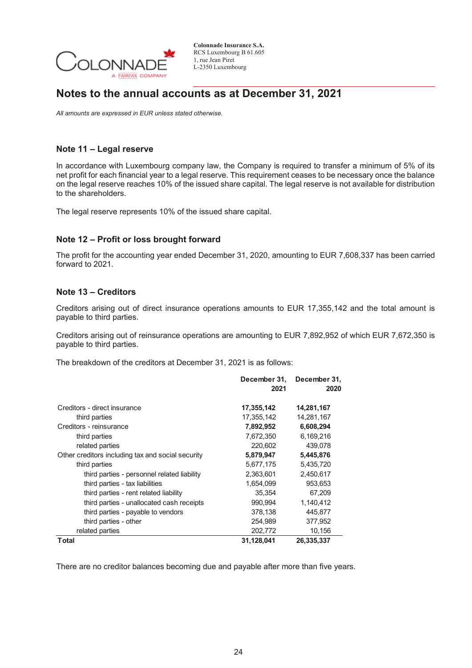

## **Notes to the annual accounts as at December 31, 2021**

*All amounts are expressed in EUR unless stated otherwise.* 

## **Note 11 – Legal reserve**

In accordance with Luxembourg company law, the Company is required to transfer a minimum of 5% of its net profit for each financial year to a legal reserve. This requirement ceases to be necessary once the balance on the legal reserve reaches 10% of the issued share capital. The legal reserve is not available for distribution to the shareholders.

The legal reserve represents 10% of the issued share capital.

## **Note 12 – Profit or loss brought forward**

The profit for the accounting year ended December 31, 2020, amounting to EUR 7,608,337 has been carried forward to 2021.

### **Note 13 – Creditors**

Creditors arising out of direct insurance operations amounts to EUR 17,355,142 and the total amount is payable to third parties.

Creditors arising out of reinsurance operations are amounting to EUR 7,892,952 of which EUR 7,672,350 is payable to third parties.

The breakdown of the creditors at December 31, 2021 is as follows:

|                                                   | December 31,<br>2021 | December 31,<br>2020 |
|---------------------------------------------------|----------------------|----------------------|
| Creditors - direct insurance                      | 17,355,142           | 14,281,167           |
| third parties                                     | 17,355,142           | 14,281,167           |
| Creditors - reinsurance                           | 7,892,952            | 6,608,294            |
| third parties                                     | 7,672,350            | 6,169,216            |
| related parties                                   | 220,602              | 439,078              |
| Other creditors including tax and social security | 5,879,947            | 5,445,876            |
| third parties                                     | 5,677,175            | 5,435,720            |
| third parties - personnel related liability       | 2,363,601            | 2,450,617            |
| third parties - tax liabilities                   | 1,654,099            | 953,653              |
| third parties - rent related liability            | 35,354               | 67,209               |
| third parties - unallocated cash receipts         | 990,994              | 1,140,412            |
| third parties - payable to vendors                | 378,138              | 445,877              |
| third parties - other                             | 254,989              | 377,952              |
| related parties                                   | 202,772              | 10,156               |
| Total                                             | 31,128,041           | 26,335,337           |

There are no creditor balances becoming due and payable after more than five years.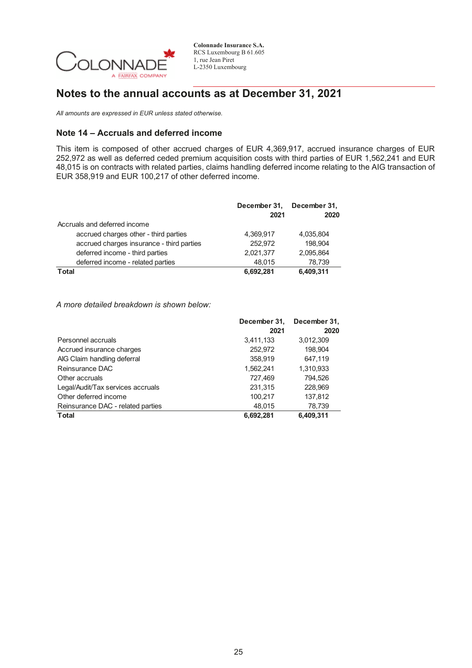

## **Notes to the annual accounts as at December 31, 2021**

*All amounts are expressed in EUR unless stated otherwise.* 

## **Note 14 – Accruals and deferred income**

This item is composed of other accrued charges of EUR 4,369,917, accrued insurance charges of EUR 252,972 as well as deferred ceded premium acquisition costs with third parties of EUR 1,562,241 and EUR 48,015 is on contracts with related parties, claims handling deferred income relating to the AIG transaction of EUR 358,919 and EUR 100,217 of other deferred income.

|                                           | December 31,<br>2021 | December 31,<br>2020 |
|-------------------------------------------|----------------------|----------------------|
| Accruals and deferred income              |                      |                      |
| accrued charges other - third parties     | 4.369.917            | 4,035,804            |
| accrued charges insurance - third parties | 252.972              | 198.904              |
| deferred income - third parties           | 2,021,377            | 2,095,864            |
| deferred income - related parties         | 48.015               | 78,739               |
| <b>Total</b>                              | 6.692.281            | 6,409,311            |

*A more detailed breakdown is shown below:* 

|                                   | December 31,<br>December 31, |           |
|-----------------------------------|------------------------------|-----------|
|                                   | 2021                         | 2020      |
| Personnel accruals                | 3,411,133                    | 3,012,309 |
| Accrued insurance charges         | 252,972                      | 198,904   |
| AIG Claim handling deferral       | 358,919                      | 647.119   |
| Reinsurance DAC                   | 1,562,241                    | 1,310,933 |
| Other accruals                    | 727,469                      | 794.526   |
| Legal/Audit/Tax services accruals | 231,315                      | 228,969   |
| Other deferred income             | 100,217                      | 137,812   |
| Reinsurance DAC - related parties | 48.015                       | 78,739    |
| <b>Total</b>                      | 6,692,281                    | 6,409,311 |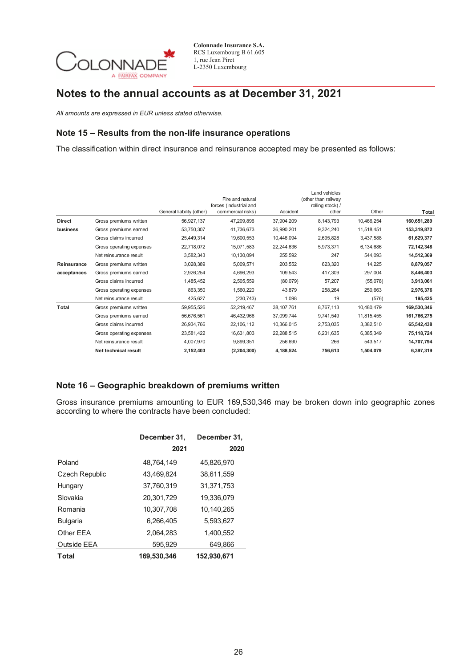

# **Notes to the annual accounts as at December 31, 2021**

*All amounts are expressed in EUR unless stated otherwise.* 

## **Note 15 – Results from the non-life insurance operations**

The classification within direct insurance and reinsurance accepted may be presented as follows:

|               |                          | General liability (other) | Fire and natural<br>forces (industrial and<br>commercial risks) | Accident   | Land vehicles<br>(other than railway<br>rolling stock) /<br>other | Other      | Total       |
|---------------|--------------------------|---------------------------|-----------------------------------------------------------------|------------|-------------------------------------------------------------------|------------|-------------|
| <b>Direct</b> | Gross premiums written   | 56,927,137                | 47,209,896                                                      | 37.904.209 | 8,143,793                                                         | 10,466,254 | 160,651,289 |
| business      | Gross premiums earned    | 53,750,307                | 41,736,673                                                      | 36,990,201 | 9,324,240                                                         | 11,518,451 | 153,319,872 |
|               | Gross claims incurred    | 25,449,314                | 19,600,553                                                      | 10,446,094 | 2,695,828                                                         | 3,437,588  | 61,629,377  |
|               | Gross operating expenses | 22,718,072                | 15,071,583                                                      | 22,244,636 | 5,973,371                                                         | 6,134,686  | 72,142,348  |
|               | Net reinsurance result   | 3,582,343                 | 10,130,094                                                      | 255,592    | 247                                                               | 544,093    | 14,512,369  |
| Reinsurance   | Gross premiums written   | 3,028,389                 | 5,009,571                                                       | 203,552    | 623,320                                                           | 14,225     | 8,879,057   |
| acceptances   | Gross premiums earned    | 2,926,254                 | 4,696,293                                                       | 109,543    | 417,309                                                           | 297,004    | 8,446,403   |
|               | Gross claims incurred    | 1,485,452                 | 2,505,559                                                       | (80,079)   | 57,207                                                            | (55,078)   | 3,913,061   |
|               | Gross operating expenses | 863,350                   | 1,560,220                                                       | 43,879     | 258,264                                                           | 250,663    | 2,976,376   |
|               | Net reinsurance result   | 425,627                   | (230, 743)                                                      | 1,098      | 19                                                                | (576)      | 195,425     |
| Total         | Gross premiums written   | 59,955,526                | 52,219,467                                                      | 38,107,761 | 8,767,113                                                         | 10,480,479 | 169,530,346 |
|               | Gross premiums earned    | 56,676,561                | 46,432,966                                                      | 37,099,744 | 9,741,549                                                         | 11,815,455 | 161,766,275 |
|               | Gross claims incurred    | 26,934,766                | 22,106,112                                                      | 10,366,015 | 2,753,035                                                         | 3,382,510  | 65,542,438  |
|               | Gross operating expenses | 23,581,422                | 16,631,803                                                      | 22,288,515 | 6,231,635                                                         | 6,385,349  | 75,118,724  |
|               | Net reinsurance result   | 4,007,970                 | 9,899,351                                                       | 256,690    | 266                                                               | 543,517    | 14,707,794  |
|               | Net technical result     | 2,152,403                 | (2,204,300)                                                     | 4,188,524  | 756,613                                                           | 1,504,079  | 6,397,319   |

## **Note 16 – Geographic breakdown of premiums written**

Gross insurance premiums amounting to EUR 169,530,346 may be broken down into geographic zones according to where the contracts have been concluded:

|                       | December 31, | December 31, |
|-----------------------|--------------|--------------|
|                       | 2021         | 2020         |
| Poland                | 48,764,149   | 45,826,970   |
| <b>Czech Republic</b> | 43,469,824   | 38,611,559   |
| Hungary               | 37,760,319   | 31,371,753   |
| Slovakia              | 20,301,729   | 19,336,079   |
| Romania               | 10,307,708   | 10,140,265   |
| <b>Bulgaria</b>       | 6.266.405    | 5.593.627    |
| Other EEA             | 2,064,283    | 1,400,552    |
| Outside EEA           | 595.929      | 649.866      |
| <b>Total</b>          | 169.530.346  | 152,930,671  |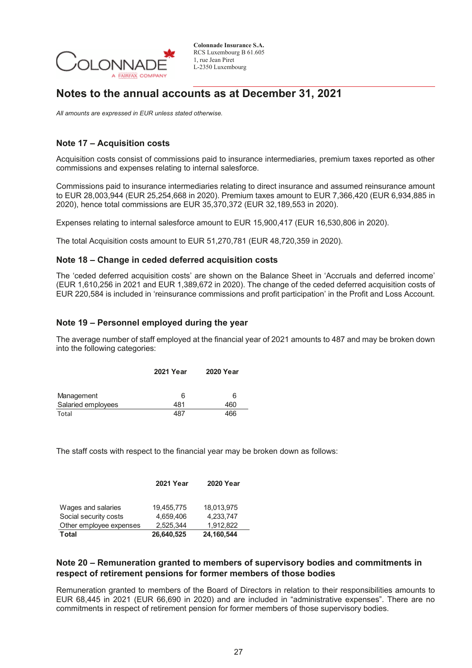

## **Notes to the annual accounts as at December 31, 2021**

*All amounts are expressed in EUR unless stated otherwise.* 

## **Note 17 – Acquisition costs**

Acquisition costs consist of commissions paid to insurance intermediaries, premium taxes reported as other commissions and expenses relating to internal salesforce.

Commissions paid to insurance intermediaries relating to direct insurance and assumed reinsurance amount to EUR 28,003,944 (EUR 25,254,668 in 2020). Premium taxes amount to EUR 7,366,420 (EUR 6,934,885 in 2020), hence total commissions are EUR 35,370,372 (EUR 32,189,553 in 2020).

Expenses relating to internal salesforce amount to EUR 15,900,417 (EUR 16,530,806 in 2020).

The total Acquisition costs amount to EUR 51,270,781 (EUR 48,720,359 in 2020).

## **Note 18 – Change in ceded deferred acquisition costs**

The 'ceded deferred acquisition costs' are shown on the Balance Sheet in 'Accruals and deferred income' (EUR 1,610,256 in 2021 and EUR 1,389,672 in 2020). The change of the ceded deferred acquisition costs of EUR 220,584 is included in 'reinsurance commissions and profit participation' in the Profit and Loss Account.

## **Note 19 – Personnel employed during the year**

The average number of staff employed at the financial year of 2021 amounts to 487 and may be broken down into the following categories:

|                    | <b>2021 Year</b> | <b>2020 Year</b> |
|--------------------|------------------|------------------|
| Management         | 6                | 6                |
| Salaried employees | 481              | 460              |
| Total              | 487              | 466              |

The staff costs with respect to the financial year may be broken down as follows:

|                         | <b>2021 Year</b> | <b>2020 Year</b> |
|-------------------------|------------------|------------------|
|                         |                  |                  |
| Wages and salaries      | 19.455.775       | 18.013.975       |
| Social security costs   | 4.659.406        | 4.233.747        |
| Other employee expenses | 2.525.344        | 1.912.822        |
| <b>Total</b>            | 26,640,525       | 24,160,544       |

## **Note 20 – Remuneration granted to members of supervisory bodies and commitments in respect of retirement pensions for former members of those bodies**

Remuneration granted to members of the Board of Directors in relation to their responsibilities amounts to EUR 68,445 in 2021 (EUR 66,690 in 2020) and are included in "administrative expenses". There are no commitments in respect of retirement pension for former members of those supervisory bodies.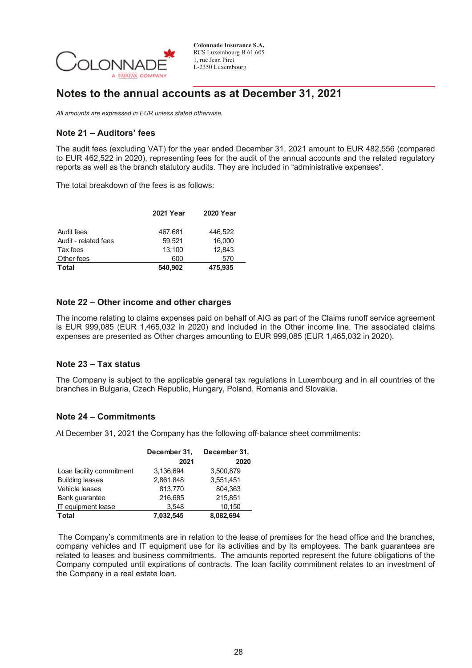

## **Notes to the annual accounts as at December 31, 2021**

*All amounts are expressed in EUR unless stated otherwise.* 

## **Note 21 – Auditors' fees**

The audit fees (excluding VAT) for the year ended December 31, 2021 amount to EUR 482,556 (compared to EUR 462,522 in 2020), representing fees for the audit of the annual accounts and the related regulatory reports as well as the branch statutory audits. They are included in "administrative expenses".

The total breakdown of the fees is as follows:

|                      | <b>2021 Year</b> | <b>2020 Year</b> |
|----------------------|------------------|------------------|
| Audit fees           | 467,681          | 446.522          |
| Audit - related fees | 59.521           | 16,000           |
| Tax fees             | 13.100           | 12.843           |
| Other fees           | 600              | 570              |
| <b>Total</b>         | 540,902          | 475,935          |

### **Note 22 – Other income and other charges**

The income relating to claims expenses paid on behalf of AIG as part of the Claims runoff service agreement is EUR 999,085 (EUR 1,465,032 in 2020) and included in the Other income line. The associated claims expenses are presented as Other charges amounting to EUR 999,085 (EUR 1,465,032 in 2020).

### **Note 23 – Tax status**

The Company is subject to the applicable general tax regulations in Luxembourg and in all countries of the branches in Bulgaria, Czech Republic, Hungary, Poland, Romania and Slovakia.

### **Note 24 – Commitments**

At December 31, 2021 the Company has the following off-balance sheet commitments:

|                          | December 31,<br>2021 | December 31,<br>2020 |
|--------------------------|----------------------|----------------------|
| Loan facility commitment | 3.136.694            | 3,500,879            |
| <b>Building leases</b>   | 2,861,848            | 3,551,451            |
| Vehicle leases           | 813,770              | 804,363              |
| Bank quarantee           | 216,685              | 215,851              |
| IT equipment lease       | 3.548                | 10,150               |
| <b>Total</b>             | 7,032,545            | 8,082,694            |

The Company's commitments are in relation to the lease of premises for the head office and the branches, company vehicles and IT equipment use for its activities and by its employees. The bank guarantees are related to leases and business commitments. The amounts reported represent the future obligations of the Company computed until expirations of contracts. The loan facility commitment relates to an investment of the Company in a real estate loan.